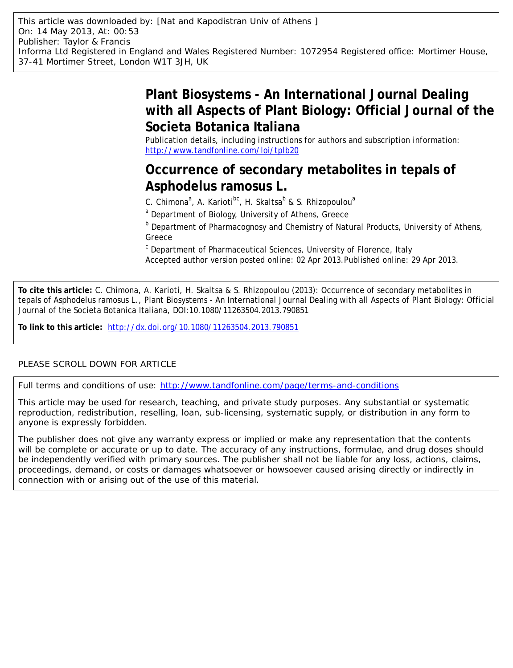# **Plant Biosystems - An International Journal Dealing with all Aspects of Plant Biology: Official Journal of the Societa Botanica Italiana**

Publication details, including instructions for authors and subscription information: <http://www.tandfonline.com/loi/tplb20>

## **Occurrence of secondary metabolites in tepals of Asphodelus ramosus L.**

C. Chimona<sup>a</sup>, A. Karioti<sup>bc</sup>, H. Skaltsa<sup>b</sup> & S. Rhizopoulou<sup>a</sup>

<sup>a</sup> Department of Biology, University of Athens, Greece

**b** Department of Pharmacognosy and Chemistry of Natural Products, University of Athens, Greece

<sup>c</sup> Department of Pharmaceutical Sciences, University of Florence, Italy Accepted author version posted online: 02 Apr 2013.Published online: 29 Apr 2013.

**To cite this article:** C. Chimona, A. Karioti, H. Skaltsa & S. Rhizopoulou (2013): Occurrence of secondary metabolites in tepals of Asphodelus ramosus L., Plant Biosystems - An International Journal Dealing with all Aspects of Plant Biology: Official Journal of the Societa Botanica Italiana, DOI:10.1080/11263504.2013.790851

**To link to this article:** <http://dx.doi.org/10.1080/11263504.2013.790851>

### PLEASE SCROLL DOWN FOR ARTICLE

Full terms and conditions of use:<http://www.tandfonline.com/page/terms-and-conditions>

This article may be used for research, teaching, and private study purposes. Any substantial or systematic reproduction, redistribution, reselling, loan, sub-licensing, systematic supply, or distribution in any form to anyone is expressly forbidden.

The publisher does not give any warranty express or implied or make any representation that the contents will be complete or accurate or up to date. The accuracy of any instructions, formulae, and drug doses should be independently verified with primary sources. The publisher shall not be liable for any loss, actions, claims, proceedings, demand, or costs or damages whatsoever or howsoever caused arising directly or indirectly in connection with or arising out of the use of this material.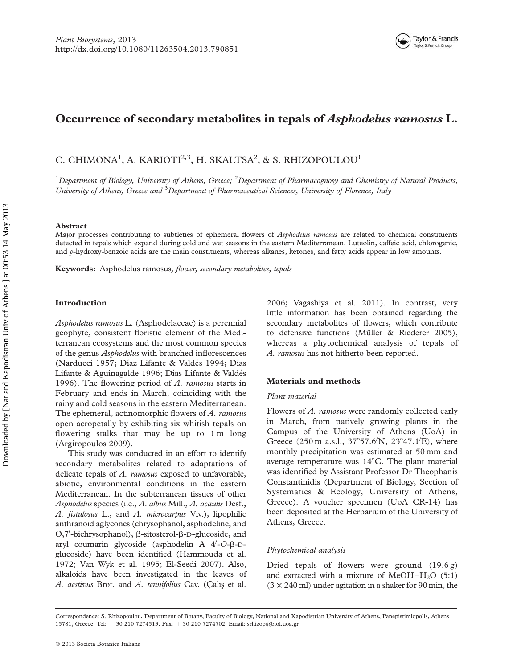### Occurrence of secondary metabolites in tepals of Asphodelus ramosus L.

C. CHIMONA<sup>1</sup>, A. KARIOTI<sup>2,3</sup>, H. SKALTSA<sup>2</sup>, & S. RHIZOPOULOU<sup>1</sup>

<sup>1</sup>Department of Biology, University of Athens, Greece; <sup>2</sup>Department of Pharmacognosy and Chemistry of Natural Products, University of Athens, Greece and <sup>3</sup>Department of Pharmaceutical Sciences, University of Florence, Italy

#### Abstract

Major processes contributing to subtleties of ephemeral flowers of Asphodelus ramosus are related to chemical constituents detected in tepals which expand during cold and wet seasons in the eastern Mediterranean. Luteolin, caffeic acid, chlorogenic, and p-hydroxy-benzoic acids are the main constituents, whereas alkanes, ketones, and fatty acids appear in low amounts.

Keywords: Asphodelus ramosus, flower, secondary metabolites, tepals

#### Introduction

Asphodelus ramosus L. (Asphodelaceae) is a perennial geophyte, consistent floristic element of the Mediterranean ecosystems and the most common species of the genus Asphodelus with branched inflorescences (Narducci 1957; Díaz Lifante & Valdés 1994; Días Lifante & Aguinagalde 1996; Días Lifante & Valdés 1996). The flowering period of  $A$ . ramosus starts in February and ends in March, coinciding with the rainy and cold seasons in the eastern Mediterranean. The ephemeral, actinomorphic flowers of A. ramosus open acropetally by exhibiting six whitish tepals on flowering stalks that may be up to 1 m long (Argiropoulos 2009).

This study was conducted in an effort to identify secondary metabolites related to adaptations of delicate tepals of  $A$ . ramosus exposed to unfavorable, abiotic, environmental conditions in the eastern Mediterranean. In the subterranean tissues of other Asphodelus species (i.e., A. albus Mill., A. acaulis Desf., A. fistulosus L., and A. microcarpus Viv.), lipophilic anthranoid aglycones (chrysophanol, asphodeline, and O,7'-bichrysophanol), β-sitosterol-β-D-glucoside, and aryl coumarin glycoside (asphodelin A  $4/-O-\beta-D$ glucoside) have been identified (Hammouda et al. 1972; Van Wyk et al. 1995; El-Seedi 2007). Also, alkaloids have been investigated in the leaves of A. aestivus Brot. and A. tenuifolius Cav. (Çalış et al.

2006; Vagashiya et al. 2011). In contrast, very little information has been obtained regarding the secondary metabolites of flowers, which contribute to defensive functions (Müller & Riederer 2005), whereas a phytochemical analysis of tepals of A. ramosus has not hitherto been reported.

#### Materials and methods

#### Plant material

Flowers of A. ramosus were randomly collected early in March, from natively growing plants in the Campus of the University of Athens (UoA) in Greece  $(250 \text{ m a.s.}1, 37^{\circ}57.6^{\prime}N, 23^{\circ}47.1^{\prime}E)$ , where monthly precipitation was estimated at 50 mm and average temperature was  $14^{\circ}$ C. The plant material was identified by Assistant Professor Dr Theophanis Constantinidis (Department of Biology, Section of Systematics & Ecology, University of Athens, Greece). A voucher specimen (UoA CR-14) has been deposited at the Herbarium of the University of Athens, Greece.

#### Phytochemical analysis

Dried tepals of flowers were ground (19.6 g) and extracted with a mixture of  $MeOH-H<sub>2</sub>O$  (5:1)  $(3 \times 240 \text{ ml})$  under agitation in a shaker for 90 min, the

Correspondence: S. Rhizopoulou, Department of Botany, Faculty of Biology, National and Kapodistrian University of Athens, Panepistimiopolis, Athens 15781, Greece. Tel: + 30 210 7274513. Fax: + 30 210 7274702. Email: srhizop@biol.uoa.gr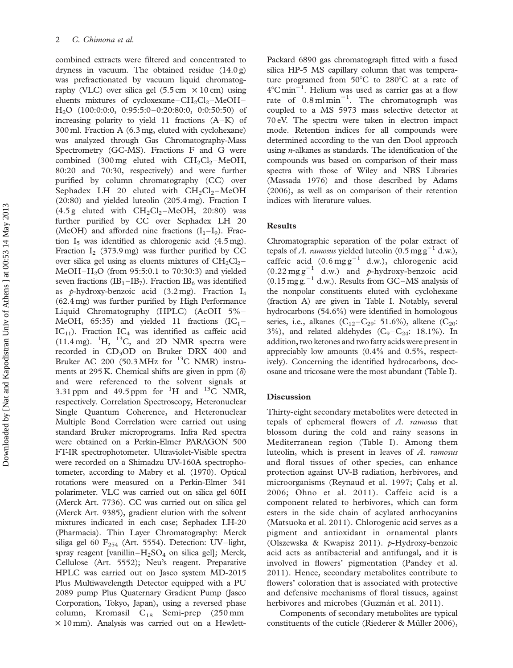combined extracts were filtered and concentrated to dryness in vacuum. The obtained residue (14.0 g) was prefractionated by vacuum liquid chromatography (VLC) over silica gel  $(5.5 \text{ cm} \times 10 \text{ cm})$  using eluents mixtures of cycloxexane– $CH_2Cl_2$ –MeOH– H2O (100:0:0:0, 0:95:5:0–0:20:80:0, 0:0:50:50) of increasing polarity to yield 11 fractions (A–K) of 300 ml. Fraction A (6.3 mg, eluted with cyclohexane) was analyzed through Gas Chromatography-Mass Spectrometry (GC-MS). Fractions F and G were combined (300 mg eluted with  $CH_2Cl_2-MeOH$ , 80:20 and 70:30, respectively) and were further purified by column chromatography (CC) over Sephadex LH 20 eluted with  $CH<sub>2</sub>Cl<sub>2</sub>–MeOH$ (20:80) and yielded luteolin (205.4 mg). Fraction I  $(4.5 \text{ g eluted with } CH_2Cl_2-MeOH, 20:80)$  was further purified by CC over Sephadex LH 20 (MeOH) and afforded nine fractions  $(I_1-I_9)$ . Fraction  $I_5$  was identified as chlorogenic acid (4.5 mg). Fraction  $I_2$  (373.9 mg) was further purified by CC over silica gel using as eluents mixtures of  $CH_2Cl_2 MeOH-H<sub>2</sub>O$  (from 95:5:0.1 to 70:30:3) and yielded seven fractions  $(IB_1 - IB_7)$ . Fraction  $IB_6$  was identified as p-hydroxy-benzoic acid  $(3.2 \text{ mg})$ . Fraction  $I_4$ (62.4 mg) was further purified by High Performance Liquid Chromatography (HPLC) (AcOH 5% – MeOH, 65:35) and yielded 11 fractions  $(IC_1 IC_{11}$ ). Fraction  $IC_4$  was identified as caffeic acid  $(11.4 \text{ mg})$ . <sup>1</sup>H, <sup>13</sup>C, and 2D NMR spectra were recorded in CD<sub>3</sub>OD on Bruker DRX 400 and Bruker AC 200 (50.3 MHz for  $^{13}$ C NMR) instruments at 295 K. Chemical shifts are given in ppm  $(\delta)$ and were referenced to the solvent signals at 3.31 ppm and 49.5 ppm for <sup>1</sup>H and <sup>13</sup>C NMR, respectively. Correlation Spectroscopy, Heteronuclear Single Quantum Coherence, and Heteronuclear Multiple Bond Correlation were carried out using standard Bruker microprograms. Infra Red spectra were obtained on a Perkin-Elmer PARAGON 500 FT-IR spectrophotometer. Ultraviolet-Visible spectra were recorded on a Shimadzu UV-160A spectrophotometer, according to Mabry et al. (1970). Optical rotations were measured on a Perkin-Elmer 341 polarimeter. VLC was carried out on silica gel 60H (Merck Art. 7736). CC was carried out on silica gel (Merck Art. 9385), gradient elution with the solvent mixtures indicated in each case; Sephadex LH-20 (Pharmacia). Thin Layer Chromatography: Merck siliga gel 60  $F_{254}$  (Art. 5554). Detection: UV–light, spray reagent [vanillin– $H_2SO_4$  on silica gel]; Merck, Cellulose (Art. 5552); Neu's reagent. Preparative HPLC was carried out on Jasco system MD-2015 Plus Multiwavelength Detector equipped with a PU 2089 pump Plus Quaternary Gradient Pump (Jasco Corporation, Tokyo, Japan), using a reversed phase column, Kromasil C18 Semi-prep (250 mm  $\times$  10 mm). Analysis was carried out on a HewlettPackard 6890 gas chromatograph fitted with a fused silica HP-5 MS capillary column that was temperature programed from  $50^{\circ}$ C to  $280^{\circ}$ C at a rate of  $4^{\circ}$ C min<sup>-1</sup>. Helium was used as carrier gas at a flow rate of  $0.8 \text{ m1} \text{min}^{-1}$ . The chromatograph was coupled to a MS 5973 mass selective detector at 70 eV. The spectra were taken in electron impact mode. Retention indices for all compounds were determined according to the van den Dool approach using  $n$ -alkanes as standards. The identification of the compounds was based on comparison of their mass spectra with those of Wiley and NBS Libraries (Massada 1976) and those described by Adams (2006), as well as on comparison of their retention indices with literature values.

#### Results

Chromatographic separation of the polar extract of tepals of A. ramosus yielded luteolin (0.5 mg  $g^{-1}$  d.w.), caffeic acid  $(0.6 \text{ mg g}^{-1} \text{ d.w.})$ , chlorogenic acid  $(0.22 \text{ mg g}^{-1} \text{ d.w.})$  and p-hydroxy-benzoic acid  $(0.15 \text{ mgg.}^{-1} \text{ d.w.})$ . Results from GC–MS analysis of the nonpolar constituents eluted with cyclohexane (fraction A) are given in Table I. Notably, several hydrocarbons (54.6%) were identified in homologous series, i.e., alkanes (C<sub>12</sub>–C<sub>29</sub>: 51.6%), alkene (C<sub>20</sub>:  $3\%$ ), and related aldehydes (C<sub>9</sub>–C<sub>24</sub>: 18.1%). In addition, two ketones and two fatty acids were present in appreciably low amounts (0.4% and 0.5%, respectively). Concerning the identified hydrocarbons, docosane and tricosane were the most abundant (Table I).

#### Discussion

Thirty-eight secondary metabolites were detected in tepals of ephemeral flowers of A. ramosus that blossom during the cold and rainy seasons in Mediterranean region (Table I). Among them luteolin, which is present in leaves of A. ramosus and floral tissues of other species, can enhance protection against UV-B radiation, herbivores, and microorganisms (Reynaud et al. 1997; Çalış et al. 2006; Ohno et al. 2011). Caffeic acid is a component related to herbivores, which can form esters in the side chain of acylated anthocyanins (Matsuoka et al. 2011). Chlorogenic acid serves as a pigment and antioxidant in ornamental plants (Olszewska & Kwapisz 2011). p-Hydroxy-benzoic acid acts as antibacterial and antifungal, and it is involved in flowers' pigmentation (Pandey et al. 2011). Hence, secondary metabolites contribute to flowers' coloration that is associated with protective and defensive mechanisms of floral tissues, against herbivores and microbes (Guzmán et al. 2011).

Components of secondary metabolites are typical constituents of the cuticle (Riederer  $&$  Müller 2006),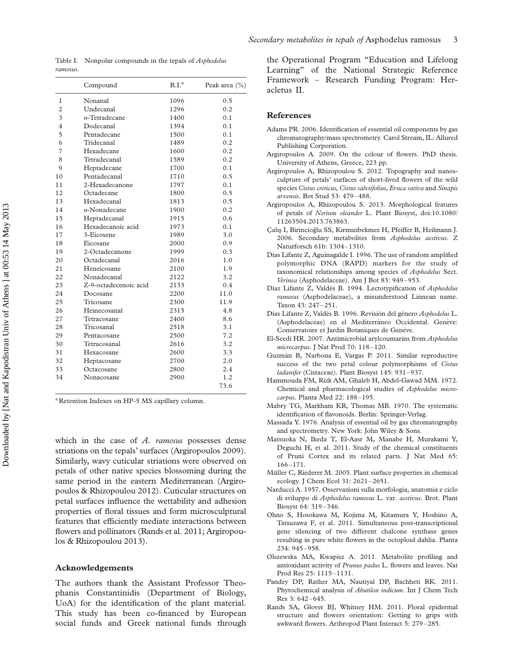Table I. Nonpolar compounds in the tepals of *Asphodelus* ramosus.

|                | Compound              | R.I. <sup>a</sup> | Peak area (%) |
|----------------|-----------------------|-------------------|---------------|
| 1              | Nonanal               | 1096              | 0.5           |
| $\overline{2}$ | Undecanal             | 1296              | 0.2           |
| 3              | $n$ -Tetradecane      | 1400              | 0.1           |
| 4              | Dodecanal             | 1394              | 0.1           |
| 5              | Pentadecane           | 1500              | 0.1           |
| 6              | Tridecanal            | 1489              | 0.2           |
| 7              | Hexadecane            | 1600              | 0.2           |
| 8              | Tetradecanal          | 1589              | 0.2           |
| 9              | Heptadecane           | 1700              | 0.1           |
| 10             | Pentadecanal          | 1710              | 0.5           |
| 11             | 2-Hexadecanone        | 1797              | 0.1           |
| 12             | Octadecane            | 1800              | 0.5           |
| 13             | Hexadecanal           | 1813              | 0.5           |
| 14             | $n$ -Nonadecane       | 1900              | 0.2           |
| 15             | Heptadecanal          | 1915              | 0.6           |
| 16             | Hexadecanoic acid     | 1973              | 0.1           |
| 17             | 3-Eicosene            | 1989              | 3.0           |
| 18             | Eicosane              | 2000              | 0.9           |
| 19             | 2-Octadecanone        | 1999              | 0.3           |
| 20             | Octadecanal           | 2016              | 1.0           |
| 21             | Heneicosane           | 2100              | 1.9           |
| 22             | Nonadecanal           | 2122              | 3.2           |
| 23             | Z-9-octadecenoic acid | 2133              | 0.4           |
| 24             | Docosane              | 2200              | 11.0          |
| 25             | Tricosane             | 2300              | 11.9          |
| 26             | Heinecosanal          | 2315              | 4.8           |
| 27             | Tetracosane           | 2400              | 8.6           |
| 28             | Tricosanal            | 2518              | 3.1           |
| 29             | Pentacosane           | 2500              | 7.2           |
| 30             | Tetracosanal          | 2616              | 3.2           |
| 31             | Hexacosane            | 2600              | 3.3           |
| 32             | Heptacosane           | 2700              | 2.0           |
| 33             | Octacosane            | 2800              | 2.4           |
| 34             | Nonacosane            | 2900              | 1.2           |
|                |                       |                   | 73.6          |
|                |                       |                   |               |

<sup>a</sup> Retention Indexes on HP-5 MS capillary column.

which in the case of  $A$ . ramosus possesses dense striations on the tepals' surfaces (Argiropoulos 2009). Similarly, wavy cuticular striations were observed on petals of other native species blossoming during the same period in the eastern Mediterranean (Argiropoulos & Rhizopoulou 2012). Cuticular structures on petal surfaces influence the wettability and adhesion properties of floral tissues and form microsculptural features that efficiently mediate interactions between flowers and pollinators (Rands et al. 2011; Argiropoulos & Rhizopoulou 2013).

#### Acknowledgements

The authors thank the Assistant Professor Theophanis Constantinidis (Department of Biology, UoA) for the identification of the plant material. This study has been co-financed by European social funds and Greek national funds through the Operational Program "Education and Lifelong Learning" of the National Strategic Reference Framework – Research Funding Program: Heracletus II.

#### References

- Adams PR. 2006. Identification of essential oil components by gas chromatography/mass spectrometry. Carol Stream, IL: Allured Publishing Corporation.
- Argiropoulos A. 2009. On the colour of flowers. PhD thesis. University of Athens, Greece, 223 pp.
- Argiropoulos A, Rhizopoulou S. 2012. Topography and nanosculpture of petals' surfaces of short-lived flowers of the wild species Cistus creticus, Cistus salviifolius, Eruca sativa and Sinapis arvensis. Bot Stud 53: 479–488.
- Argiropoulos A, Rhizopoulou S. 2013. Morphological features of petals of Nerium oleander L. Plant Biosyst, doi:10.1080/ 11263504.2013.763863.
- Calıs I, Birincioğlu SS, Kırmızıbekmez H, Pfeiffer B, Heilmann J. 2006. Secondary metabolites from Asphodelus aestivus. Z Naturforsch 61b: 1304–1310.
- Días Lifante Z, Aguinagalde I. 1996. The use of random amplified polymorphic DNA (RAPD) markers for the study of taxonomical relationships among species of Asphodelus Sect. Verinea (Asphodelaceae). Am J Bot 83: 949–953.
- Díaz Lifante Z, Valdés B. 1994. Lectotypification of Asphodelus ramosus (Asphodelaceae), a misunderstood Linnean name. Taxon 43: 247 –251.
- Días Lifante Z, Valdés B. 1996. Revisión del género Asphodelus L. (Asphodelaceae) en el Mediterráneo Occidental. Genève: Conservatoire et Jardin Botaniques de Genève.
- El-Seedi HR. 2007. Antimicrobial arylcoumarins from Asphodelus microcarpus. J Nat Prod 70: 118-120.
- Guzma´n B, Narbona E, Vargas P. 2011. Similar reproductive success of the two petal colour polymorphisms of Cistus ladanifer (Cistaceae). Plant Biosyst 145: 931–937.
- Hammouda FM, Rizk AM, Ghaleb H, Abdel-Gawad MM. 1972. Chemical and pharmacological studies of Asphodelus microcarpus. Planta Med 22: 188–195.
- Mabry TG, Markham KR, Thomas MB. 1970. The systematic identification of flavonoids. Berlin: Springer-Verlag.
- Massada Y. 1976. Analysis of essential oil by gas chromatography and spectrometry. New York: John Wiley & Sons.
- Matsuoka N, Ikeda T, El-Aasr M, Manabe H, Murakami Y, Deguchi H, et al. 2011. Study of the chemical constituents of Pruni Cortex and its related parts. J Nat Med 65: 166–171.
- Müller C, Riederer M. 2005. Plant surface properties in chemical ecology. J Chem Ecol 31: 2621–2651.
- Narducci A. 1957. Osservazioni sulla morfologia, anatomia e ciclo di sviluppo di Asphodelus ramosus L. var. aestivus. Brot. Plant Biosyst 64: 319–346.
- Ohno S, Hosokawa M, Kojima M, Kitamura Y, Hoshino A, Tatsuzawa F, et al. 2011. Simultaneous post-transcriptional gene silencing of two different chalcone synthase genes resulting in pure white flowers in the octoploid dahlia. Planta 234: 945–958.
- Olszewska MA, Kwapisz A. 2011. Metabolite profiling and antioxidant activity of Prunus padus L. flowers and leaves. Nat Prod Res 25: 1115–1131.
- Pandey DP, Rather MA, Nautiyal DP, Bachheti RK. 2011. Phytochemical analysis of *Abutilon indicum*. Int I Chem Tech Res 3: 642 –645.
- Rands SA, Glover BJ, Whitney HM. 2011. Floral epidermal structure and flowers orientation: Getting to grips with awkward flowers. Arthropod Plant Interact 5: 279–285.